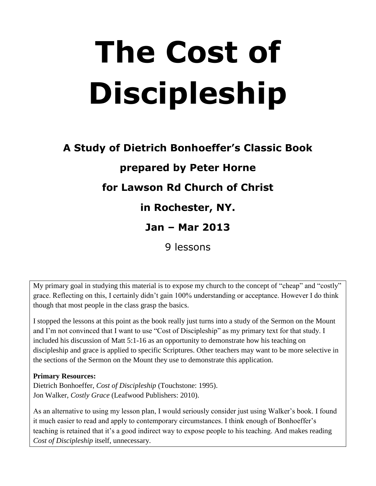# **The Cost of Discipleship**

# **A Study of Dietrich Bonhoeffer's Classic Book prepared by Peter Horne for Lawson Rd Church of Christ in Rochester, NY. Jan – Mar 2013**

9 lessons

My primary goal in studying this material is to expose my church to the concept of "cheap" and "costly" grace. Reflecting on this, I certainly didn't gain 100% understanding or acceptance. However I do think though that most people in the class grasp the basics.

I stopped the lessons at this point as the book really just turns into a study of the Sermon on the Mount and I'm not convinced that I want to use "Cost of Discipleship" as my primary text for that study. I included his discussion of Matt 5:1-16 as an opportunity to demonstrate how his teaching on discipleship and grace is applied to specific Scriptures. Other teachers may want to be more selective in the sections of the Sermon on the Mount they use to demonstrate this application.

#### **Primary Resources:**

Dietrich Bonhoeffer, *Cost of Discipleship* (Touchstone: 1995). Jon Walker, *Costly Grace* (Leafwood Publishers: 2010).

As an alternative to using my lesson plan, I would seriously consider just using Walker's book. I found it much easier to read and apply to contemporary circumstances. I think enough of Bonhoeffer's teaching is retained that it's a good indirect way to expose people to his teaching. And makes reading *Cost of Discipleship* itself, unnecessary.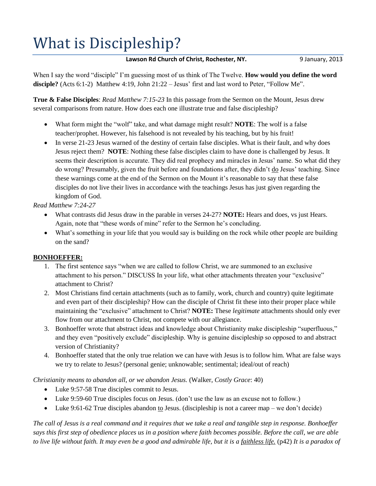# What is Discipleship?

#### **Lawson Rd Church of Christ, Rochester, NY.** 9 January, 2013

When I say the word "disciple" I'm guessing most of us think of The Twelve. **How would you define the word**  disciple? (Acts 6:1-2) Matthew 4:19, John 21:22 – Jesus' first and last word to Peter, "Follow Me".

**True & False Disciples**: *Read Matthew 7:15-23* In this passage from the Sermon on the Mount, Jesus drew several comparisons from nature. How does each one illustrate true and false discipleship?

- What form might the "wolf" take, and what damage might result? **NOTE**: The wolf is a false teacher/prophet. However, his falsehood is not revealed by his teaching, but by his fruit!
- In verse 21-23 Jesus warned of the destiny of certain false disciples. What is their fault, and why does Jesus reject them? **NOTE**: Nothing these false disciples claim to have done is challenged by Jesus. It seems their description is accurate. They did real prophecy and miracles in Jesus' name. So what did they do wrong? Presumably, given the fruit before and foundations after, they didn't do Jesus' teaching. Since these warnings come at the end of the Sermon on the Mount it's reasonable to say that these false disciples do not live their lives in accordance with the teachings Jesus has just given regarding the kingdom of God.

*Read Matthew 7:24-27*

- What contrasts did Jesus draw in the parable in verses 24-27? **NOTE:** Hears and does, vs just Hears. Again, note that "these words of mine" refer to the Sermon he's concluding.
- What's something in your life that you would say is building on the rock while other people are building on the sand?

#### **BONHOEFFER:**

- 1. The first sentence says "when we are called to follow Christ, we are summoned to an exclusive attachment to his person." DISCUSS In your life, what other attachments threaten your "exclusive" attachment to Christ?
- 2. Most Christians find certain attachments (such as to family, work, church and country) quite legitimate and even part of their discipleship? How can the disciple of Christ fit these into their proper place while maintaining the "exclusive" attachment to Christ? **NOTE:** These *legitimate* attachments should only ever flow from our attachment to Christ, not compete with our allegiance.
- 3. Bonhoeffer wrote that abstract ideas and knowledge about Christianity make discipleship "superfluous," and they even "positively exclude" discipleship. Why is genuine discipleship so opposed to and abstract version of Christianity?
- 4. Bonhoeffer stated that the only true relation we can have with Jesus is to follow him. What are false ways we try to relate to Jesus? (personal genie; unknowable; sentimental; ideal/out of reach)

*Christianity means to abandon all, or we abandon Jesus.* (Walker, *Costly Grace*: 40)

- Luke 9:57-58 True disciples commit to Jesus.
- Luke 9:59-60 True disciples focus on Jesus. (don't use the law as an excuse not to follow.)
- Luke 9:61-62 True disciples abandon to Jesus. (discipleship is not a career map we don't decide)

*The call of Jesus is a real command and it requires that we take a real and tangible step in response. Bonhoeffer says this first step of obedience places us in a position where faith becomes possible. Before the call, we are able to live life without faith. It may even be a good and admirable life, but it is a faithless life.* (p42) *It is a paradox of*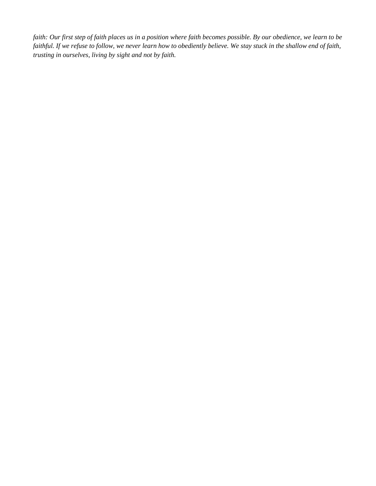*faith: Our first step of faith places us in a position where faith becomes possible. By our obedience, we learn to be faithful. If we refuse to follow, we never learn how to obediently believe. We stay stuck in the shallow end of faith, trusting in ourselves, living by sight and not by faith.*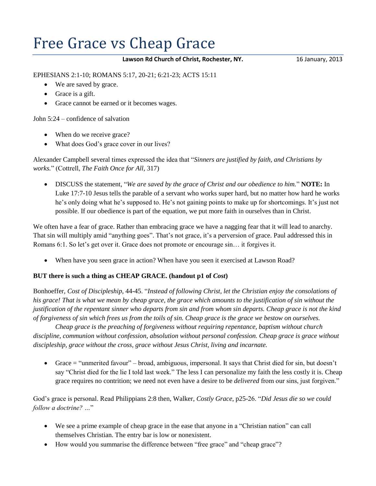### Free Grace vs Cheap Grace

Lawson Rd Church of Christ, Rochester, NY. 16 January, 2013

EPHESIANS 2:1-10; ROMANS 5:17, 20-21; 6:21-23; ACTS 15:11

- We are saved by grace.
- Grace is a gift.
- Grace cannot be earned or it becomes wages.

John 5:24 – confidence of salvation

- When do we receive grace?
- What does God's grace cover in our lives?

Alexander Campbell several times expressed the idea that "*Sinners are justified by faith, and Christians by works.*" (Cottrell, *The Faith Once for All*, 317)

 DISCUSS the statement, "*We are saved by the grace of Christ and our obedience to him.*" **NOTE:** In Luke 17:7-10 Jesus tells the parable of a servant who works super hard, but no matter how hard he works he's only doing what he's supposed to. He's not gaining points to make up for shortcomings. It's just not possible. If our obedience is part of the equation, we put more faith in ourselves than in Christ.

We often have a fear of grace. Rather than embracing grace we have a nagging fear that it will lead to anarchy. That sin will multiply amid "anything goes". That's not grace, it's a perversion of grace. Paul addressed this in Romans 6:1. So let's get over it. Grace does not promote or encourage sin… it forgives it.

When have you seen grace in action? When have you seen it exercised at Lawson Road?

#### **BUT there is such a thing as CHEAP GRACE. (handout p1 of** *Cost***)**

Bonhoeffer, *Cost of Discipleship*, 44-45. "*Instead of following Christ, let the Christian enjoy the consolations of*  his grace! That is what we mean by cheap grace, the grace which amounts to the justification of sin without the *justification of the repentant sinner who departs from sin and from whom sin departs. Cheap grace is not the kind of forgiveness of sin which frees us from the toils of sin. Cheap grace is the grace we bestow on ourselves.*

*Cheap grace is the preaching of forgiveness without requiring repentance, baptism without church discipline, communion without confession, absolution without personal confession. Cheap grace is grace without discipleship, grace without the cross, grace without Jesus Christ, living and incarnate.*

 Grace = "unmerited favour" – broad, ambiguous, impersonal. It says that Christ died for sin, but doesn't say "Christ died for the lie I told last week." The less I can personalize my faith the less costly it is. Cheap grace requires no contrition; we need not even have a desire to be *delivered* from our sins, just forgiven."

God's grace is personal. Read Philippians 2:8 then, Walker, *Costly Grace*, p25-26. "*Did Jesus die so we could follow a doctrine? …*"

- We see a prime example of cheap grace in the ease that anyone in a "Christian nation" can call themselves Christian. The entry bar is low or nonexistent.
- How would you summarise the difference between "free grace" and "cheap grace"?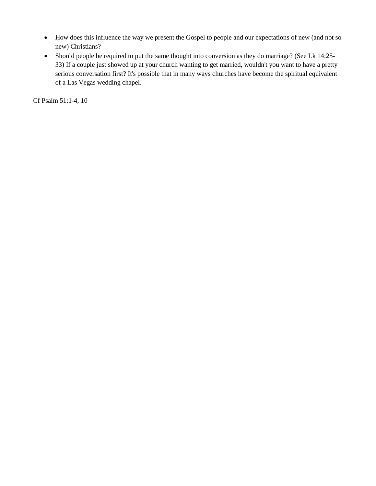- How does this influence the way we present the Gospel to people and our expectations of new (and not so new) Christians?
- Should people be required to put the same thought into conversion as they do marriage? (See Lk 14:25- 33) If a couple just showed up at your church wanting to get married, wouldn't you want to have a pretty serious conversation first? It's possible that in many ways churches have become the spiritual equivalent of a Las Vegas wedding chapel.

Cf Psalm 51:1-4, 10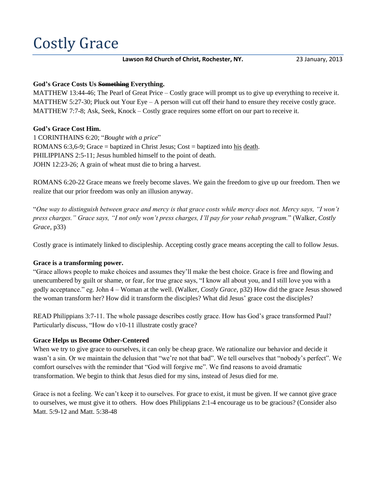### Costly Grace

#### Lawson Rd Church of Christ, Rochester, NY. 23 January, 2013

#### **God's Grace Costs Us Something Everything.**

MATTHEW 13:44-46; The Pearl of Great Price – Costly grace will prompt us to give up everything to receive it. MATTHEW 5:27-30; Pluck out Your Eye – A person will cut off their hand to ensure they receive costly grace. MATTHEW 7:7-8; Ask, Seek, Knock – Costly grace requires some effort on our part to receive it.

#### **God's Grace Cost Him.**

1 CORINTHAINS 6:20; "*Bought with a price*" ROMANS 6:3,6-9; Grace = baptized in Christ Jesus; Cost = baptized into his death. PHILIPPIANS 2:5-11; Jesus humbled himself to the point of death. JOHN 12:23-26; A grain of wheat must die to bring a harvest.

ROMANS 6:20-22 Grace means we freely become slaves. We gain the freedom to give up our freedom. Then we realize that our prior freedom was only an illusion anyway.

"*One way to distinguish between grace and mercy is that grace costs while mercy does not. Mercy says, "I won't press charges." Grace says, "I not only won't press charges, I'll pay for your rehab program.*" (Walker, *Costly Grace*, p33)

Costly grace is intimately linked to discipleship. Accepting costly grace means accepting the call to follow Jesus.

#### **Grace is a transforming power.**

"Grace allows people to make choices and assumes they'll make the best choice. Grace is free and flowing and unencumbered by guilt or shame, or fear, for true grace says, "I know all about you, and I still love you with a godly acceptance." eg. John 4 – Woman at the well. (Walker, *Costly Grace*, p32) How did the grace Jesus showed the woman transform her? How did it transform the disciples? What did Jesus' grace cost the disciples?

READ Philippians 3:7-11. The whole passage describes costly grace. How has God's grace transformed Paul? Particularly discuss, "How do v10-11 illustrate costly grace?

#### **Grace Helps us Become Other-Centered**

When we try to give grace to ourselves, it can only be cheap grace. We rationalize our behavior and decide it wasn't a sin. Or we maintain the delusion that "we're not that bad". We tell ourselves that "nobody's perfect". We comfort ourselves with the reminder that "God will forgive me". We find reasons to avoid dramatic transformation. We begin to think that Jesus died for my sins, instead of Jesus died for me.

Grace is not a feeling. We can't keep it to ourselves. For grace to exist, it must be given. If we cannot give grace to ourselves, we must give it to others. How does Philippians 2:1-4 encourage us to be gracious? (Consider also Matt. 5:9-12 and Matt. 5:38-48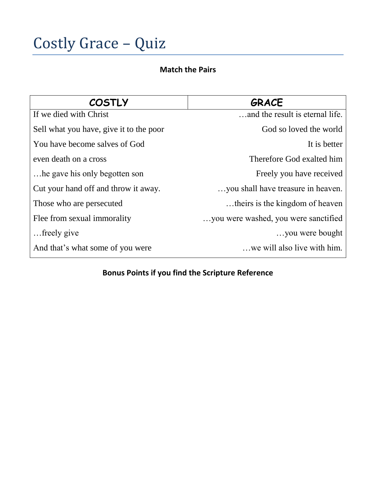### **Match the Pairs**

| <b>GRACE</b>                         |
|--------------------------------------|
| and the result is eternal life.      |
| God so loved the world               |
| It is better                         |
| Therefore God exalted him            |
| Freely you have received             |
| you shall have treasure in heaven.   |
| theirs is the kingdom of heaven.     |
| you were washed, you were sanctified |
| you were bought                      |
| we will also live with him.          |
|                                      |

### **Bonus Points if you find the Scripture Reference**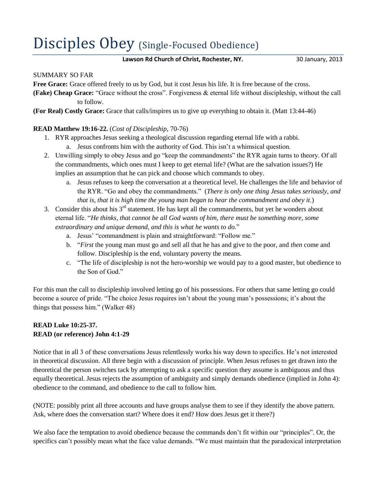### Disciples Obey (Single-Focused Obedience)

Lawson Rd Church of Christ, Rochester, NY. 30 January, 2013

#### SUMMARY SO FAR

**Free Grace:** Grace offered freely to us by God, but it cost Jesus his life. It is free because of the cross.

**(Fake) Cheap Grace:** "Grace without the cross". Forgiveness & eternal life without discipleship, without the call to follow.

**(For Real) Costly Grace:** Grace that calls/inspires us to give up everything to obtain it. (Matt 13:44-46)

#### **READ Matthew 19:16-22.** (*Cost of Discipleship*, 70-76)

- 1. RYR approaches Jesus seeking a theological discussion regarding eternal life with a rabbi.
	- a. Jesus confronts him with the authority of God. This isn't a whimsical question.
- 2. Unwilling simply to obey Jesus and go "keep the commandments" the RYR again turns to theory. Of all the commandments, which ones must I keep to get eternal life? (What are the salvation issues?) He implies an assumption that he can pick and choose which commands to obey.
	- a. Jesus refuses to keep the conversation at a theoretical level. He challenges the life and behavior of the RYR. "Go and obey the commandments." (*There is only one thing Jesus takes seriously, and that is, that it is high time the young man began to hear the commandment and obey it.*)
- 3. Consider this about his  $3<sup>rd</sup>$  statement. He has kept all the commandments, but yet he wonders about eternal life. "*He thinks, that cannot be all God wants of him, there must be something more, some extraordinary and unique demand, and this is what he wants to do.*"
	- a. Jesus' "commandment is plain and straightforward: "Follow me."
	- b. "*First* the young man must go and sell all that he has and give to the poor, and *then* come and follow. Discipleship is the end, voluntary poverty the means.
	- c. "The life of discipleship is not the hero-worship we would pay to a good master, but obedience to the Son of God."

For this man the call to discipleship involved letting go of his possessions. For others that same letting go could become a source of pride. "The choice Jesus requires isn't about the young man's possessions; it's about the things that possess him." (Walker 48)

#### **READ Luke 10:25-37. READ (or reference) John 4:1-29**

Notice that in all 3 of these conversations Jesus relentlessly works his way down to specifics. He's not interested in theoretical discussion. All three begin with a discussion of principle. When Jesus refuses to get drawn into the theoretical the person switches tack by attempting to ask a specific question they assume is ambiguous and thus equally theoretical. Jesus rejects the assumption of ambiguity and simply demands obedience (implied in John 4): obedience to the command, and obedience to the call to follow him.

(NOTE: possibly print all three accounts and have groups analyse them to see if they identify the above pattern. Ask, where does the conversation start? Where does it end? How does Jesus get it there?)

We also face the temptation to avoid obedience because the commands don't fit within our "principles". Or, the specifics can't possibly mean what the face value demands. "We must maintain that the paradoxical interpretation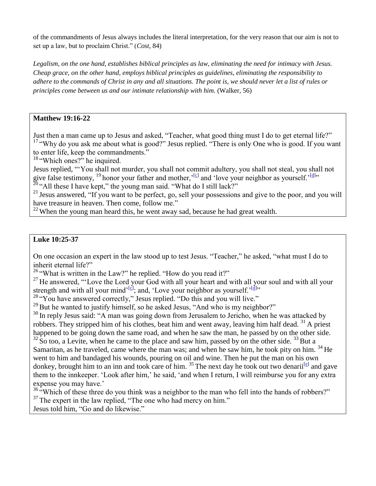of the commandments of Jesus always includes the literal interpretation, for the very reason that our aim is not to set up a law, but to proclaim Christ." (*Cost*, 84)

*Legalism, on the one hand, establishes biblical principles as law, eliminating the need for intimacy with Jesus. Cheap grace, on the other hand, employs biblical principles as guidelines, eliminating the responsibility to adhere to the commands of Christ in any and all situations. The point is, we should never let a list of rules or principles come between us and our intimate relationship with him.* (Walker, 56)

#### **Matthew 19:16-22**

Just then a man came up to Jesus and asked, "Teacher, what good thing must I do to get eternal life?"  $17$  "Why do you ask me about what is good?" Jesus replied. "There is only One who is good. If you want to enter life, keep the commandments."

<sup>18</sup> "Which ones?" he inquired.

Jesus replied, "'You shall not murder, you shall not commit adultery, you shall not steal, you shall not give false testimony, <sup>19</sup> honor your father and mother, <sup>{c}</sup> and 'love your neighbor as yourself.<sup>{c}}</sup>

 $^{20}$  "All these I have kept," the young man said. "What do I still lack?"

<sup>21</sup> Jesus answered, "If you want to be perfect, go, sell your possessions and give to the poor, and you will have treasure in heaven. Then come, follow me."

 $22$  When the young man heard this, he went away sad, because he had great wealth.

#### **Luke 10:25-37**

On one occasion an expert in the law stood up to test Jesus. "Teacher," he asked, "what must I do to inherit eternal life?"

<sup>26</sup> "What is written in the Law?" he replied. "How do you read it?"

 $27$  He answered, "Love the Lord your God with all your heart and with all your soul and with all your strength and with all your mind'<sup>[\[c\]](http://www.biblegateway.com/passage/?search=luke%2010&version=NIV#fen-NIV-25391c)</sup>; and, 'Love your neighbor as yourself.'<sup>[\[d\]](http://www.biblegateway.com/passage/?search=luke%2010&version=NIV#fen-NIV-25391d)</sup>"

<sup>28</sup> "You have answered correctly," Jesus replied. "Do this and you will live."

 $29$  But he wanted to justify himself, so he asked Jesus, "And who is my neighbor?"

 $30$  In reply Jesus said: "A man was going down from Jerusalem to Jericho, when he was attacked by robbers. They stripped him of his clothes, beat him and went away, leaving him half dead. <sup>31</sup> A priest happened to be going down the same road, and when he saw the man, he passed by on the other side.  $32$  So too, a Levite, when he came to the place and saw him, passed by on the other side.  $33$  But a Samaritan, as he traveled, came where the man was; and when he saw him, he took pity on him.  $^{34}$  He went to him and bandaged his wounds, pouring on oil and wine. Then he put the man on his own donkey, brought him to an inn and took care of him.  $35$  The next day he took out two denarii<sup>[\[e\]](http://www.biblegateway.com/passage/?search=luke%2010&version=NIV#fen-NIV-25399e)</sup> and gave them to the innkeeper. 'Look after him,' he said, 'and when I return, I will reimburse you for any extra

expense you may have.' <sup>36</sup> "Which of these three do you think was a neighbor to the man who fell into the hands of robbers?"

<sup>37</sup> The expert in the law replied, "The one who had mercy on him."

Jesus told him, "Go and do likewise."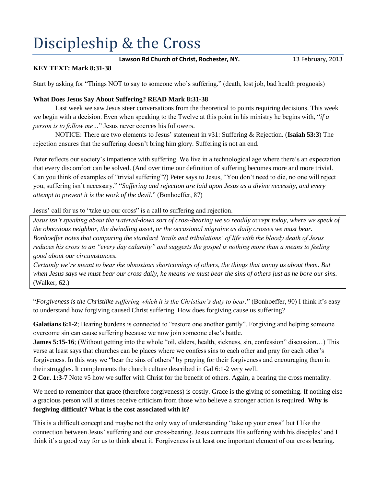### Discipleship & the Cross

Lawson Rd Church of Christ, Rochester, NY. 13 February, 2013

#### **KEY TEXT: Mark 8:31-38**

Start by asking for "Things NOT to say to someone who's suffering." (death, lost job, bad health prognosis)

#### **What Does Jesus Say About Suffering? READ Mark 8:31-38**

Last week we saw Jesus steer conversations from the theoretical to points requiring decisions. This week we begin with a decision. Even when speaking to the Twelve at this point in his ministry he begins with, "*if a person is to follow me…*" Jesus never coerces his followers.

NOTICE: There are two elements to Jesus' statement in v31: Suffering & Rejection. (**Isaiah 53:3**) The rejection ensures that the suffering doesn't bring him glory. Suffering is not an end.

Peter reflects our society's impatience with suffering. We live in a technological age where there's an expectation that every discomfort can be solved. (And over time our definition of suffering becomes more and more trivial. Can you think of examples of "trivial suffering"?) Peter says to Jesus, "You don't need to die, no one will reject you, suffering isn't necessary." "*Suffering and rejection are laid upon Jesus as a divine necessity, and every attempt to prevent it is the work of the devil*." (Bonhoeffer, 87)

Jesus' call for us to "take up our cross" is a call to suffering and rejection.

*Jesus isn't speaking about the watered-down sort of cross-bearing we so readily accept today, where we speak of the obnoxious neighbor, the dwindling asset, or the occasional migraine as daily crosses we must bear. Bonhoeffer notes that comparing the standard 'trails and tribulations' of life with the bloody death of Jesus reduces his cross to an "every day calamity" and suggests the gospel is nothing more than a means to feeling good about our circumstances.*

*Certainly we're meant to bear the obnoxious shortcomings of others, the things that annoy us about them. But when Jesus says we must bear our cross daily, he means we must bear the sins of others just as he bore our sins.*  (Walker, 62.)

"*Forgiveness is the Christlike suffering which it is the Christian's duty to bear.*" (Bonhoeffer, 90) I think it's easy to understand how forgiving caused Christ suffering. How does forgiving cause us suffering?

**Galatians 6:1-2**; Bearing burdens is connected to "restore one another gently". Forgiving and helping someone overcome sin can cause suffering because we now join someone else's battle.

**James 5:15-16**; (Without getting into the whole "oil, elders, health, sickness, sin, confession" discussion...) This verse at least says that churches can be places where we confess sins to each other and pray for each other's forgiveness. In this way we "bear the sins of others" by praying for their forgiveness and encouraging them in their struggles. It complements the church culture described in Gal 6:1-2 very well.

**2 Cor. 1:3-7** Note v5 how we suffer with Christ for the benefit of others. Again, a bearing the cross mentality.

We need to remember that grace (therefore forgiveness) is costly. Grace is the giving of something. If nothing else a gracious person will at times receive criticism from those who believe a stronger action is required. **Why is forgiving difficult? What is the cost associated with it?**

This is a difficult concept and maybe not the only way of understanding "take up your cross" but I like the connection between Jesus' suffering and our cross-bearing. Jesus connects His suffering with his disciples' and I think it's a good way for us to think about it. Forgiveness is at least one important element of our cross bearing.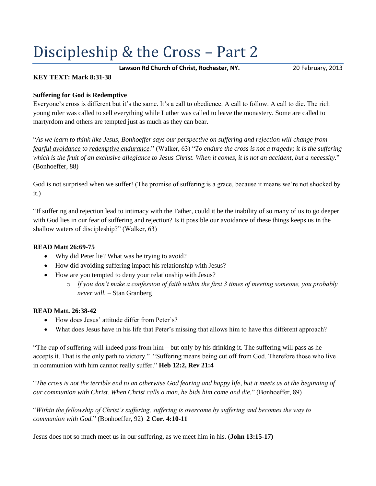### Discipleship & the Cross – Part 2

Lawson Rd Church of Christ, Rochester, NY. 20 February, 2013

#### **KEY TEXT: Mark 8:31-38**

#### **Suffering for God is Redemptive**

Everyone's cross is different but it's the same. It's a call to obedience. A call to follow. A call to die. The rich young ruler was called to sell everything while Luther was called to leave the monastery. Some are called to martyrdom and others are tempted just as much as they can bear.

"*As we learn to think like Jesus, Bonhoeffer says our perspective on suffering and rejection will change from fearful avoidance to redemptive endurance.*" (Walker, 63) "*To endure the cross is not a tragedy; it is the suffering which is the fruit of an exclusive allegiance to Jesus Christ. When it comes, it is not an accident, but a necessity.*" (Bonhoeffer, 88)

God is not surprised when we suffer! (The promise of suffering is a grace, because it means we're not shocked by it.)

"If suffering and rejection lead to intimacy with the Father, could it be the inability of so many of us to go deeper with God lies in our fear of suffering and rejection? Is it possible our avoidance of these things keeps us in the shallow waters of discipleship?" (Walker, 63)

#### **READ Matt 26:69-75**

- Why did Peter lie? What was he trying to avoid?
- How did avoiding suffering impact his relationship with Jesus?
- How are you tempted to deny your relationship with Jesus?
	- o *If you don't make a confession of faith within the first 3 times of meeting someone, you probably never will.* – Stan Granberg

#### **READ Matt. 26:38-42**

- How does Jesus' attitude differ from Peter's?
- What does Jesus have in his life that Peter's missing that allows him to have this different approach?

"The cup of suffering will indeed pass from him – but only by his drinking it. The suffering will pass as he accepts it. That is the only path to victory." "Suffering means being cut off from God. Therefore those who live in communion with him cannot really suffer." **Heb 12:2, Rev 21:4**

"*The cross is not the terrible end to an otherwise God fearing and happy life, but it meets us at the beginning of our communion with Christ. When Christ calls a man, he bids him come and die.*" (Bonhoeffer, 89)

"*Within the fellowship of Christ's suffering, suffering is overcome by suffering and becomes the way to communion with God.*" (Bonhoeffer, 92) **2 Cor. 4:10-11**

Jesus does not so much meet us in our suffering, as we meet him in his. (**John 13:15-17)**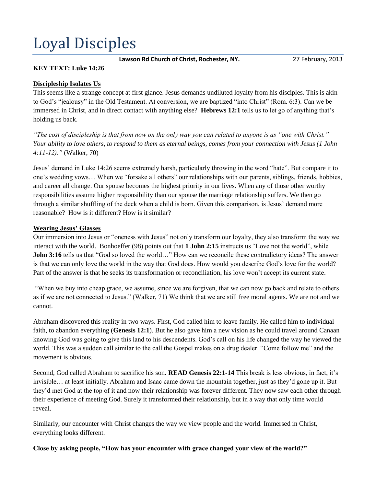# Loyal Disciples

Lawson Rd Church of Christ, Rochester, NY. 27 February, 2013

#### **KEY TEXT: Luke 14:26**

#### **Discipleship Isolates Us**

This seems like a strange concept at first glance. Jesus demands undiluted loyalty from his disciples. This is akin to God's "jealousy" in the Old Testament. At conversion, we are baptized "into Christ" (Rom. 6:3). Can we be immersed in Christ, and in direct contact with anything else? **Hebrews 12:1** tells us to let go of anything that's holding us back.

*"The cost of discipleship is that from now on the only way you can related to anyone is as "one with Christ." Your ability to love others, to respond to them as eternal beings, comes from your connection with Jesus (1 John 4:11-12)."* (Walker, 70)

Jesus' demand in Luke 14:26 seems extremely harsh, particularly throwing in the word "hate". But compare it to one's wedding vows… When we "forsake all others" our relationships with our parents, siblings, friends, hobbies, and career all change. Our spouse becomes the highest priority in our lives. When any of those other worthy responsibilities assume higher responsibility than our spouse the marriage relationship suffers. We then go through a similar shuffling of the deck when a child is born. Given this comparison, is Jesus' demand more reasonable? How is it different? How is it similar?

#### **Wearing Jesus' Glasses**

Our immersion into Jesus or "oneness with Jesus" not only transform our loyalty, they also transform the way we interact with the world. Bonhoeffer (98) points out that **1 John 2:15** instructs us "Love not the world", while **John 3:16** tells us that "God so loved the world..." How can we reconcile these contradictory ideas? The answer is that we can only love the world in the way that God does. How would you describe God's love for the world? Part of the answer is that he seeks its transformation or reconciliation, his love won't accept its current state.

"When we buy into cheap grace, we assume, since we are forgiven, that we can now go back and relate to others as if we are not connected to Jesus." (Walker, 71) We think that we are still free moral agents. We are not and we cannot.

Abraham discovered this reality in two ways. First, God called him to leave family. He called him to individual faith, to abandon everything (**Genesis 12:1**). But he also gave him a new vision as he could travel around Canaan knowing God was going to give this land to his descendents. God's call on his life changed the way he viewed the world. This was a sudden call similar to the call the Gospel makes on a drug dealer. "Come follow me" and the movement is obvious.

Second, God called Abraham to sacrifice his son. **READ Genesis 22:1-14** This break is less obvious, in fact, it's invisible… at least initially. Abraham and Isaac came down the mountain together, just as they'd gone up it. But they'd met God at the top of it and now their relationship was forever different. They now saw each other through their experience of meeting God. Surely it transformed their relationship, but in a way that only time would reveal.

Similarly, our encounter with Christ changes the way we view people and the world. Immersed in Christ, everything looks different.

**Close by asking people, "How has your encounter with grace changed your view of the world?"**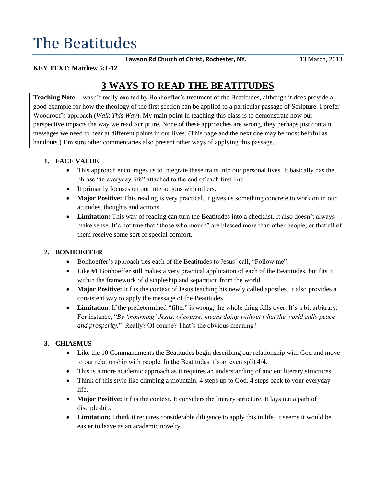### The Beatitudes

Lawson Rd Church of Christ, Rochester, NY. 13 March, 2013

#### **KEY TEXT: Matthew 5:1-12**

### **3 WAYS TO READ THE BEATITUDES**

**Teaching Note:** I wasn't really excited by Bonhoeffer's treatment of the Beatitudes, although it does provide a good example for how the theology of the first section can be applied to a particular passage of Scripture. I prefer Woodroof's approach (*Walk This Way*). My main point in teaching this class is to demonstrate how our perspective impacts the way we read Scripture. None of these approaches are wrong, they perhaps just contain messages we need to hear at different points in our lives. (This page and the next one may be most helpful as handouts.) I'm sure other commentaries also present other ways of applying this passage.

#### **1. FACE VALUE**

- This approach encourages us to integrate these traits into our personal lives. It basically has the phrase "in everyday life" attached to the end of each first line.
- It primarily focuses on our interactions with others.
- Major Positive: This reading is very practical. It gives us something concrete to work on in our attitudes, thoughts and actions.
- Limitation: This way of reading can turn the Beatitudes into a checklist. It also doesn't always make sense. It's not true that "those who mourn" are blessed more than other people, or that all of them receive some sort of special comfort.

#### **2. BONHOEFFER**

- Bonhoeffer's approach ties each of the Beatitudes to Jesus' call, "Follow me".
- Like #1 Bonhoeffer still makes a very practical application of each of the Beatitudes, but fits it within the framework of discipleship and separation from the world.
- Major Positive: It fits the context of Jesus teaching his newly called apostles. It also provides a consistent way to apply the message of the Beatitudes.
- **Limitation**: If the predetermined "filter" is wrong, the whole thing falls over. It's a bit arbitrary. For instance, "*By 'mourning' Jesus, of course, means doing without what the world calls peace and prosperity.*" Really? Of course? That's the obvious meaning?

#### **3. CHIASMUS**

- Like the 10 Commandments the Beatitudes begin describing our relationship with God and move to our relationship with people. In the Beatitudes it's an even split 4/4.
- This is a more academic approach as it requires an understanding of ancient literary structures.
- Think of this style like climbing a mountain. 4 steps up to God. 4 steps back to your everyday life.
- Major Positive: It fits the context. It considers the literary structure. It lays out a path of discipleship.
- Limitation: I think it requires considerable diligence to apply this in life. It seems it would be easier to leave as an academic novelty.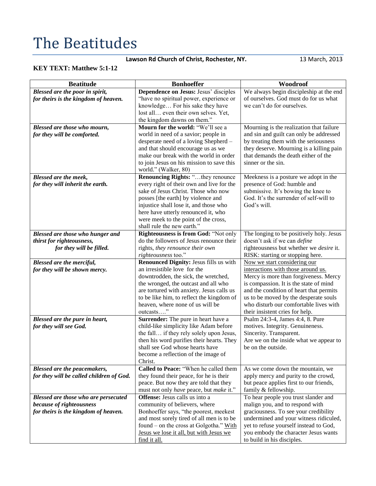### The Beatitudes

#### Lawson Rd Church of Christ, Rochester, NY. 13 March, 2013

#### **KEY TEXT: Matthew 5:1-12**

| <b>Beatitude</b>                         | <b>Bonhoeffer</b>                                                            | Woodroof                                                                       |
|------------------------------------------|------------------------------------------------------------------------------|--------------------------------------------------------------------------------|
| Blessed are the poor in spirit,          | Dependence on Jesus: Jesus' disciples                                        | We always begin discipleship at the end                                        |
| for theirs is the kingdom of heaven.     | "have no spiritual power, experience or                                      | of ourselves. God must do for us what                                          |
|                                          | knowledge For his sake they have                                             | we can't do for ourselves.                                                     |
|                                          | lost all even their own selves. Yet,                                         |                                                                                |
|                                          | the kingdom dawns on them."                                                  |                                                                                |
| Blessed are those who mourn,             | Mourn for the world: "We'll see a                                            | Mourning is the realization that failure                                       |
| for they will be comforted.              | world in need of a savior; people in                                         | and sin and guilt can only be addressed                                        |
|                                          | desperate need of a loving Shepherd -                                        | by treating them with the seriousness                                          |
|                                          | and that should encourage us as we                                           | they deserve. Mourning is a killing pain                                       |
|                                          | make our break with the world in order                                       | that demands the death either of the                                           |
|                                          | to join Jesus on his mission to save this                                    | sinner or the sin.                                                             |
|                                          | world." (Walker, 80)                                                         |                                                                                |
| Blessed are the meek,                    | Renouncing Rights: "they renounce                                            | Meekness is a posture we adopt in the                                          |
| for they will inherit the earth.         | every right of their own and live for the                                    | presence of God: humble and                                                    |
|                                          | sake of Jesus Christ. Those who now                                          | submissive. It's bowing the knee to<br>God. It's the surrender of self-will to |
|                                          | posses [the earth] by violence and<br>injustice shall lose it, and those who | God's will.                                                                    |
|                                          | here have utterly renounced it, who                                          |                                                                                |
|                                          | were meek to the point of the cross,                                         |                                                                                |
|                                          | shall rule the new earth."                                                   |                                                                                |
| Blessed are those who hunger and         | Righteousness is from God: "Not only                                         | The longing to be positively holy. Jesus                                       |
| thirst for righteousness,                | do the followers of Jesus renounce their                                     | doesn't ask if we can define                                                   |
| for they will be filled.                 | rights, they renounce their own                                              | righteousness but whether we desire it.                                        |
|                                          | righteousness too."                                                          | RISK: starting or stopping here.                                               |
| <b>Blessed are the merciful,</b>         | Renounced Dignity: Jesus fills us with                                       | Now we start considering our                                                   |
| for they will be shown mercy.            | an irresistible love for the                                                 | interactions with those around us.                                             |
|                                          | downtrodden, the sick, the wretched,                                         | Mercy is more than forgiveness. Mercy                                          |
|                                          | the wronged, the outcast and all who                                         | is compassion. It is the state of mind                                         |
|                                          | are tortured with anxiety. Jesus calls us                                    | and the condition of heart that permits                                        |
|                                          | to be like him, to reflect the kingdom of                                    | us to be moved by the desperate souls                                          |
|                                          | heaven, where none of us will be                                             | who disturb our comfortable lives with                                         |
|                                          | outcasts"                                                                    | their insistent cries for help.                                                |
| Blessed are the pure in heart,           | Surrender: The pure in heart have a                                          | Psalm 24:3-4, James 4:4, 8. Pure                                               |
| for they will see God.                   | child-like simplicity like Adam before                                       | motives. Integrity. Genuineness.                                               |
|                                          | the fall if they rely solely upon Jesus,                                     | Sincerity. Transparent.                                                        |
|                                          | then his word purifies their hearts. They<br>shall see God whose hearts have | Are we on the inside what we appear to                                         |
|                                          | become a reflection of the image of                                          | be on the outside.                                                             |
|                                          | Christ.                                                                      |                                                                                |
| Blessed are the peacemakers,             | Called to Peace: "When he called them                                        | As we come down the mountain, we                                               |
| for they will be called children of God. | they found their peace, for he is their                                      | apply mercy and purity to the crowd,                                           |
|                                          | peace. But now they are told that they                                       | but peace applies first to our friends,                                        |
|                                          | must not only have peace, but make it."                                      | family & fellowship.                                                           |
| Blessed are those who are persecuted     | <b>Offense:</b> Jesus calls us into a                                        | To hear people you trust slander and                                           |
| because of righteousness                 | community of believers, where                                                | malign you, and to respond with                                                |
| for theirs is the kingdom of heaven.     | Bonhoeffer says, "the poorest, meekest                                       | graciousness. To see your credibility                                          |
|                                          | and most sorely tired of all men is to be                                    | undermined and your witness ridiculed,                                         |
|                                          | found – on the cross at Golgotha." With                                      | yet to refuse yourself instead to God,                                         |
|                                          | Jesus we lose it all, but with Jesus we                                      | you embody the character Jesus wants                                           |
|                                          | find it all.                                                                 | to build in his disciples.                                                     |